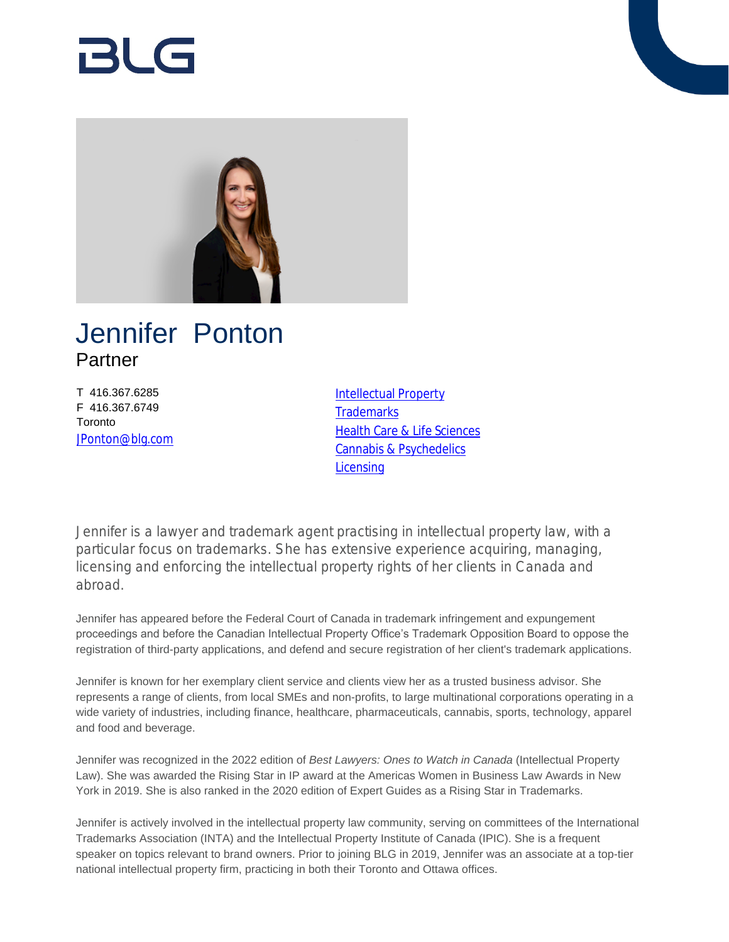# RI G



## Jennifer Ponton Partner

T 416.367.6285 F 416.367.6749 **Toronto** [JPonton@blg.com](mailto:JPonton@blg.com) [Intellectual Property](https://www.blg.com/en/services/practice-areas/intellectual-property) **[Trademarks](https://www.blg.com/en/services/practice-areas/intellectual-property/trademarks) [Health Care & Life Sciences](https://www.blg.com/en/services/industries/health-care-life-sciences)** [Cannabis & Psychedelics](https://www.blg.com/en/services/industries/cannabis) **[Licensing](https://www.blg.com/en/services/practice-areas/intellectual-property/licensing)** 

Jennifer is a lawyer and trademark agent practising in intellectual property law, with a particular focus on trademarks. She has extensive experience acquiring, managing, licensing and enforcing the intellectual property rights of her clients in Canada and abroad.

Jennifer has appeared before the Federal Court of Canada in trademark infringement and expungement proceedings and before the Canadian Intellectual Property Office's Trademark Opposition Board to oppose the registration of third-party applications, and defend and secure registration of her client's trademark applications.

Jennifer is known for her exemplary client service and clients view her as a trusted business advisor. She represents a range of clients, from local SMEs and non-profits, to large multinational corporations operating in a wide variety of industries, including finance, healthcare, pharmaceuticals, cannabis, sports, technology, apparel and food and beverage.

Jennifer was recognized in the 2022 edition of *Best Lawyers: Ones to Watch in Canada* (Intellectual Property Law). She was awarded the Rising Star in IP award at the Americas Women in Business Law Awards in New York in 2019. She is also ranked in the 2020 edition of Expert Guides as a Rising Star in Trademarks.

Jennifer is actively involved in the intellectual property law community, serving on committees of the International Trademarks Association (INTA) and the Intellectual Property Institute of Canada (IPIC). She is a frequent speaker on topics relevant to brand owners. Prior to joining BLG in 2019, Jennifer was an associate at a top-tier national intellectual property firm, practicing in both their Toronto and Ottawa offices.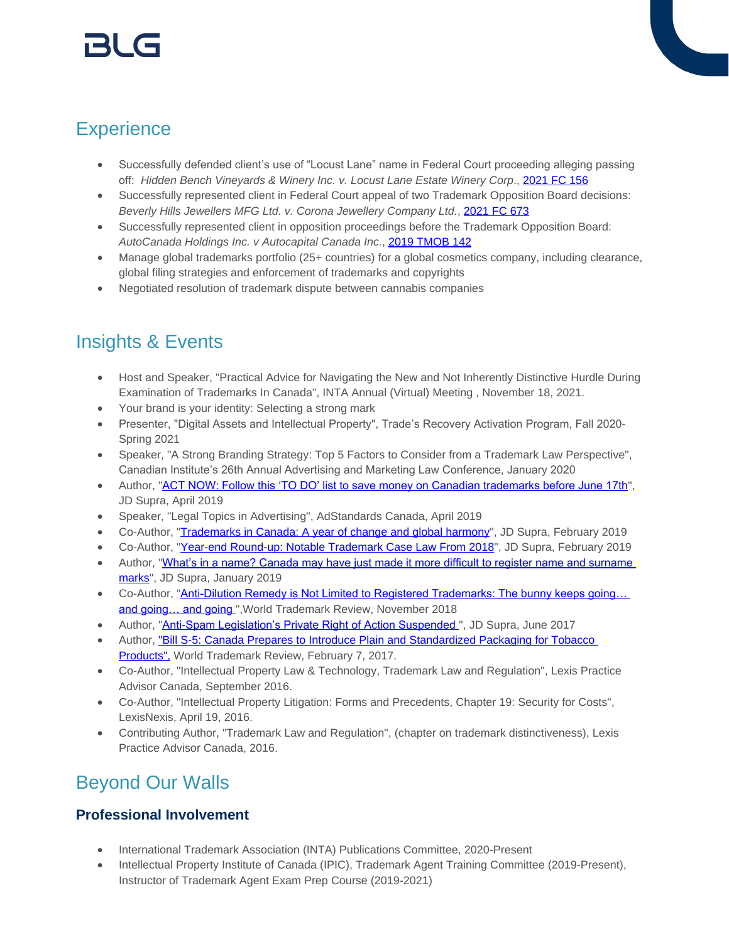## **Experience**

- Successfully defended client's use of "Locust Lane" name in Federal Court proceeding alleging passing off: *Hidden Bench Vineyards & Winery Inc. v. Locust Lane Estate Winery Corp*., [2021 FC 156](https://decisions.fct-cf.gc.ca/fc-cf/decisions/en/493062/1/document.do)
- Successfully represented client in Federal Court appeal of two Trademark Opposition Board decisions: *Beverly Hills Jewellers MFG Ltd. v. Corona Jewellery Company Ltd.*, [2021 FC 673](https://decisions.fct-cf.gc.ca/fc-cf/decisions/en/499538/1/document.do)
- Successfully represented client in opposition proceedings before the Trademark Opposition Board: *AutoCanada Holdings Inc. v Autocapital Canada Inc.*, [2019 TMOB 142](https://www.canlii.org/en/ca/tmob/doc/2019/2019tmob142/2019tmob142.html?searchUrlHash=AAAAAQARIkplbm5pZmVyIFBvbnRvbiIAAAAAAQ&resultIndex=2)
- Manage global trademarks portfolio (25+ countries) for a global cosmetics company, including clearance, global filing strategies and enforcement of trademarks and copyrights
- Negotiated resolution of trademark dispute between cannabis companies

## Insights & Events

- Host and Speaker, "Practical Advice for Navigating the New and Not Inherently Distinctive Hurdle During Examination of Trademarks In Canada", INTA Annual (Virtual) Meeting , November 18, 2021.
- Your brand is your identity: Selecting a strong mark
- Presenter, "Digital Assets and Intellectual Property", Trade's Recovery Activation Program, Fall 2020- Spring 2021
- Speaker, "A Strong Branding Strategy: Top 5 Factors to Consider from a Trademark Law Perspective", Canadian Institute's 26th Annual Advertising and Marketing Law Conference, January 2020
- Author, "[ACT NOW: Follow this 'TO DO' list to save money on Canadian trademarks before June 17th](https://www.jdsupra.com/legalnews/act-now-follow-this-to-do-list-to-save-77127/)", JD Supra, April 2019
- Speaker, "Legal Topics in Advertising", AdStandards Canada, April 2019
- Co-Author, "[Trademarks in Canada: A year of change and global harmony"](https://www.jdsupra.com/legalnews/trademarks-in-canada-a-year-of-change-79096/), JD Supra, February 2019
- Co-Author, "[Year-end Round-up: Notable Trademark Case Law From 2018](https://www.jdsupra.com/legalnews/year-end-round-up-notable-trademark-62203/)", JD Supra, February 2019
- Author, "What's in a name? Canada may have just made it more difficult to register name and surname [marks"](https://www.jdsupra.com/legalnews/what-s-in-a-name-canada-may-have-just-16848/), JD Supra, January 2019
- Co-Author, "Anti-Dilution Remedy is Not Limited to Registered Trademarks: The bunny keeps going... and going... and going", World Trademark Review, November 2018
- Author, "Anti-Spam Legislation's Private Right of Action Suspended", JD Supra, June 2017
- Author, ["Bill S-5: Canada Prepares to Introduce Plain and Standardized Packaging for Tobacco](https://www.worldtrademarkreview.com/governmentpolicy/bill-s-5-canada-prepares-introduce-plain-and-standardised-packaging-tobacco-products)  [Products",](https://www.worldtrademarkreview.com/governmentpolicy/bill-s-5-canada-prepares-introduce-plain-and-standardised-packaging-tobacco-products) World Trademark Review, February 7, 2017.
- Co-Author, "Intellectual Property Law & Technology, Trademark Law and Regulation", Lexis Practice Advisor Canada, September 2016.
- Co-Author, "Intellectual Property Litigation: Forms and Precedents, Chapter 19: Security for Costs", LexisNexis, April 19, 2016.
- Contributing Author, "Trademark Law and Regulation", (chapter on trademark distinctiveness), Lexis Practice Advisor Canada, 2016.

## Beyond Our Walls

### **Professional Involvement**

- International Trademark Association (INTA) Publications Committee, 2020-Present
- Intellectual Property Institute of Canada (IPIC), Trademark Agent Training Committee (2019-Present), Instructor of Trademark Agent Exam Prep Course (2019-2021)